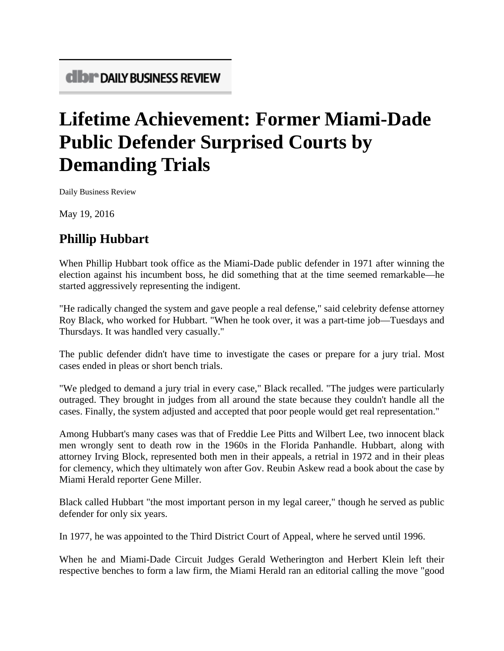## **Lifetime Achievement: Former Miami-Dade Public Defender Surprised Courts by Demanding Trials**

Daily Business Review

May 19, 2016

## **Phillip Hubbart**

When Phillip Hubbart took office as the Miami-Dade public defender in 1971 after winning the election against his incumbent boss, he did something that at the time seemed remarkable—he started aggressively representing the indigent.

"He radically changed the system and gave people a real defense," said celebrity defense attorney Roy Black, who worked for Hubbart. "When he took over, it was a part-time job—Tuesdays and Thursdays. It was handled very casually."

The public defender didn't have time to investigate the cases or prepare for a jury trial. Most cases ended in pleas or short bench trials.

"We pledged to demand a jury trial in every case," Black recalled. "The judges were particularly outraged. They brought in judges from all around the state because they couldn't handle all the cases. Finally, the system adjusted and accepted that poor people would get real representation."

Among Hubbart's many cases was that of Freddie Lee Pitts and Wilbert Lee, two innocent black men wrongly sent to death row in the 1960s in the Florida Panhandle. Hubbart, along with attorney Irving Block, represented both men in their appeals, a retrial in 1972 and in their pleas for clemency, which they ultimately won after Gov. Reubin Askew read a book about the case by Miami Herald reporter Gene Miller.

Black called Hubbart "the most important person in my legal career," though he served as public defender for only six years.

In 1977, he was appointed to the Third District Court of Appeal, where he served until 1996.

When he and Miami-Dade Circuit Judges Gerald Wetherington and Herbert Klein left their respective benches to form a law firm, the Miami Herald ran an editorial calling the move "good